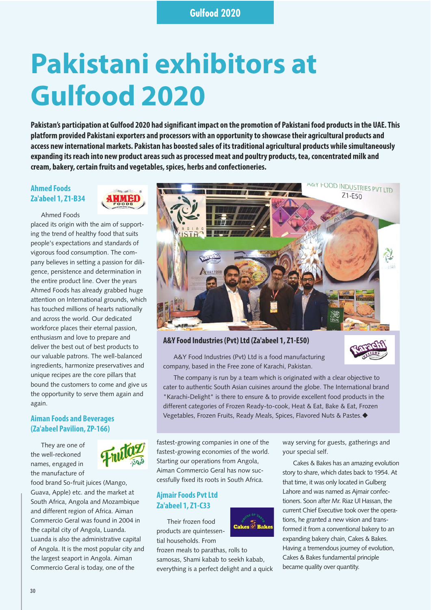# **Pakistani exhibitors at Gulfood 2020**

**Pakistan's participation at Gulfood 2020 had significant impact on the promotion of Pakistani food products in the UAE. This platform provided Pakistani exporters and processors with an opportunity to showcase their agricultural products and access new international markets. Pakistan has boosted sales of its traditional agricultural products while simultaneously expanding its reach into new product areas such as processed meat and poultry products, tea, concentrated milk and cream, bakery, certain fruits and vegetables, spices, herbs and confectioneries.**

## **Ahmed Foods Za'abeel 1, Z1-B34**



Ahmed Foods

placed its origin with the aim of supporting the trend of healthy food that suits people's expectations and standards of vigorous food consumption. The company believes in setting a passion for diligence, persistence and determination in the entire product line. Over the years Ahmed Foods has already grabbed huge attention on International grounds, which has touched millions of hearts nationally and across the world. Our dedicated workforce places their eternal passion, enthusiasm and love to prepare and deliver the best out of best products to our valuable patrons. The well-balanced ingredients, harmonize preservatives and unique recipes are the core pillars that bound the customers to come and give us the opportunity to serve them again and again.

## **Aiman Foods and Beverages (Za'abeel Pavilion, ZP-166)**

They are one of the well-reckoned names, engaged in the manufacture of



food brand So-fruit juices (Mango, Guava, Apple) etc. and the market at South Africa, Angola and Mozambique and different region of Africa. Aiman Commercio Geral was found in 2004 in the capital city of Angola, Luanda. Luanda is also the administrative capital of Angola. It is the most popular city and the largest seaport in Angola. Aiman Commercio Geral is today, one of the



## **A&Y Food Industries (Pvt) Ltd (Za'abeel 1, Z1-E50)**

A&Y Food Industries (Pvt) Ltd is a food manufacturing company, based in the Free zone of Karachi, Pakistan.

Cakes @ Bake

The company is run by a team which is originated with a clear objective to cater to authentic South Asian cuisines around the globe. The International brand "Karachi-Delight" is there to ensure & to provide excellent food products in the different categories of Frozen Ready-to-cook, Heat & Eat, Bake & Eat, Frozen Vegetables, Frozen Fruits, Ready Meals, Spices, Flavored Nuts & Pastes.-

fastest-growing companies in one of the fastest-growing economies of the world. Starting our operations from Angola, Aiman Commercio Geral has now successfully fixed its roots in South Africa.

#### **Ajmair Foods Pvt Ltd Za'abeel 1, Z1-C33**

Their frozen food products are quintessential households. From

frozen meals to parathas, rolls to samosas, Shami kabab to seekh kabab, everything is a perfect delight and a quick

way serving for guests, gatherings and your special self.

Cakes & Bakes has an amazing evolution story to share, which dates back to 1954. At that time, it was only located in Gulberg Lahore and was named as Ajmair confectioners. Soon after Mr. Riaz Ul Hassan, the current Chief Executive took over the operations, he granted a new vision and transformed it from a conventional bakery to an expanding bakery chain, Cakes & Bakes. Having a tremendous journey of evolution, Cakes & Bakes fundamental principle became quality over quantity.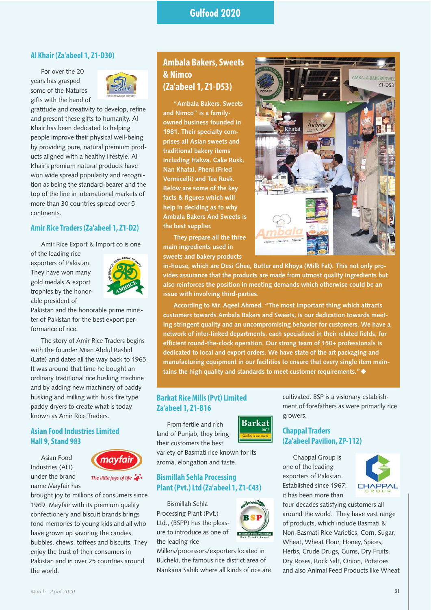#### **Al Khair (Za'abeel 1, Z1-D30)**

For over the 20 years has grasped some of the Natures gifts with the hand of



gratitude and creativity to develop, refine and present these gifts to humanity. Al Khair has been dedicated to helping people improve their physical well-being by providing pure, natural premium products aligned with a healthy lifestyle. Al Khair's premium natural products have won wide spread popularity and recognition as being the standard-bearer and the top of the line in international markets of more than 30 countries spread over 5 continents.

#### **Amir Rice Traders (Za'abeel 1, Z1-D2)**

Amir Rice Export & Import co is one

of the leading rice exporters of Pakistan. They have won many gold medals & export trophies by the honorable president of



Pakistan and the honorable prime minister of Pakistan for the best export performance of rice.

The story of Amir Rice Traders begins with the founder Mian Abdul Rashid (Late) and dates all the way back to 1965. It was around that time he bought an ordinary traditional rice husking machine and by adding new machinery of paddy husking and milling with husk fire type paddy dryers to create what is today known as Amir Rice Traders.

## **Asian Food Industries Limited Hall 9, Stand 983**

Asian Food Industries (AFI) under the brand name Mayfair has



brought joy to millions of consumers since 1969. Mayfair with its premium quality confectionery and biscuit brands brings fond memories to young kids and all who have grown up savoring the candies, bubbles, chews, toffees and biscuits. They enjoy the trust of their consumers in Pakistan and in over 25 countries around the world.

## **Ambala Bakers, Sweets & Nimco (Za'abeel 1, Z1-D53)**

**"Ambala Bakers, Sweets and Nimco" is a familyowned business founded in 1981. Their specialty comprises all Asian sweets and traditional bakery items including Halwa, Cake Rusk, Nan Khatai, Pheni (Fried Vermicelli) and Tea Rusk. Below are some of the key facts & figures which will help in deciding as to why Ambala Bakers And Sweets is the best supplier.**

**They prepare all the three main ingredients used in sweets and bakery products**



**in-house, which are Desi Ghee, Butter and Khoya (Milk Fat). This not only provides assurance that the products are made from utmost quality ingredients but also reinforces the position in meeting demands which otherwise could be an issue with involving third-parties.**

**According to Mr. Aqeel Ahmed, "The most important thing which attracts customers towards Ambala Bakers and Sweets, is our dedication towards meeting stringent quality and an uncompromising behavior for customers. We have a network of inter-linked departments, each specialized in their related fields, for efficient round-the-clock operation. Our strong team of 150+ professionals is dedicated to local and export orders. We have state of the art packaging and manufacturing equipment in our facilities to ensure that every single item maintains the high quality and standards to meet customer requirements."**-

#### **Barkat Rice Mills (Pvt) Limited Za'abeel 1, Z1-B16**

From fertile and rich land of Punjab, they bring their customers the best



variety of Basmati rice known for its aroma, elongation and taste.

#### **Bismillah Sehla Processing Plant (Pvt.) Ltd (Za'abeel 1, Z1-C43)**

Bismillah Sehla Processing Plant (Pvt.) Ltd., (BSPP) has the pleasure to introduce as one of the leading rice

Millers/processors/exporters located in Bucheki, the famous rice district area of Nankana Sahib where all kinds of rice are

cultivated. BSP is a visionary establishment of forefathers as were primarily rice growers.

## **Chappal Traders (Za'abeel Pavilion, ZP-112)**

Chappal Group is one of the leading exporters of Pakistan. Established since 1967; it has been more than



four decades satisfying customers all around the world. They have vast range of products, which include Basmati & Non-Basmati Rice Varieties, Corn, Sugar, Wheat, Wheat Flour, Honey, Spices, Herbs, Crude Drugs, Gums, Dry Fruits, Dry Roses, Rock Salt, Onion, Potatoes and also Animal Feed Products like Wheat

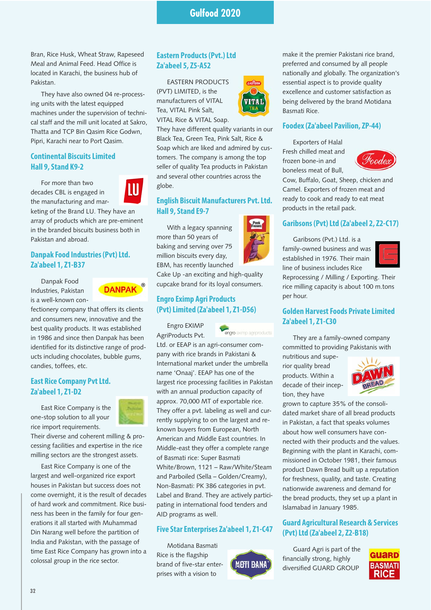Bran, Rice Husk, Wheat Straw, Rapeseed Meal and Animal Feed. Head Office is located in Karachi, the business hub of Pakistan.

They have also owned 04 re-processing units with the latest equipped machines under the supervision of technical staff and the mill unit located at Sakro, Thatta and TCP Bin Qasim Rice Godwn, Pipri, Karachi near to Port Qasim.

## **Continental Biscuits Limited Hall 9, Stand K9-2**

For more than two decades CBL is engaged in the manufacturing and mar-



keting of the Brand LU. They have an array of products which are pre-eminent in the branded biscuits business both in Pakistan and abroad.

## **Danpak Food Industries (Pvt) Ltd. Za'abeel 1, Z1-B37**

Danpak Food Industries, Pakistan is a well-known con-



fectionery company that offers its clients and consumers new, innovative and the best quality products. It was established in 1986 and since then Danpak has been identified for its distinctive range of products including chocolates, bubble gums, candies, toffees, etc.

## **East Rice Company Pvt Ltd. Za'abeel 1, Z1-D2**

East Rice Company is the one-stop solution to all your rice import requirements.



Their diverse and coherent milling & processing facilities and expertise in the rice milling sectors are the strongest assets.

East Rice Company is one of the largest and well-organized rice export houses in Pakistan but success does not come overnight, it is the result of decades of hard work and commitment. Rice business has been in the family for four generations it all started with Muhammad Din Narang well before the partition of India and Pakistan, with the passage of time East Rice Company has grown into a colossal group in the rice sector.

## **Eastern Products (Pvt.) Ltd Za'abeel 5, Z5-A52**

EASTERN PRODUCTS (PVT) LIMITED, is the manufacturers of VITAL Tea, VITAL Pink Salt, VITAL Rice & VITAL Soap.



They have different quality variants in our Black Tea, Green Tea, Pink Salt, Rice & Soap which are liked and admired by customers. The company is among the top seller of quality Tea products in Pakistan and several other countries across the globe.

## **English Biscuit Manufacturers Pvt. Ltd. Hall 9, Stand E9-7**

With a legacy spanning more than 50 years of baking and serving over 75 million biscuits every day, EBM, has recently launched

Cake Up -an exciting and high-quality cupcake brand for its loyal consumers.

## **Engro Eximp Agri Products (Pvt) Limited (Za'abeel 1, Z1-D56)**

Engro EXIMP AgriProducts Pvt.



Ltd. or EEAP is an agri-consumer company with rice brands in Pakistani & International market under the umbrella name 'Onaaj'. EEAP has one of the largest rice processing facilities in Pakistan with an annual production capacity of approx. 70,000 MT of exportable rice. They offer a pvt. labeling as well and currently supplying to on the largest and reknown buyers from European, North American and Middle East countries. In Middle-east they offer a complete range of Basmati rice: Super Basmati White/Brown, 1121 – Raw/White/Steam and Parboiled (Sella – Golden/Creamy), Non-Basmati: PK 386 categories in pvt. Label and Brand. They are actively participating in international food tenders and AID programs as well.

## **Five Star Enterprises Za'abeel 1, Z1-C47**

Motidana Basmati Rice is the flagship brand of five-star enterprises with a vision to





make it the premier Pakistani rice brand, preferred and consumed by all people nationally and globally. The organization's essential aspect is to provide quality excellence and customer satisfaction as being delivered by the brand Motidana Basmati Rice.

## **Foodex (Za'abeel Pavilion, ZP-44)**

Exporters of Halal Fresh chilled meat and frozen bone-in and boneless meat of Bull,



Cow, Buffalo, Goat, Sheep, chicken and Camel. Exporters of frozen meat and ready to cook and ready to eat meat products in the retail pack.

## **Garibsons (Pvt) Ltd (Za'abeel 2, Z2-C17)**

Garibsons (Pvt.) Ltd. is a family-owned business and was established in 1976. Their main line of business includes Rice



Reprocessing / Milling / Exporting. Their rice milling capacity is about 100 m.tons per hour.

## **Golden Harvest Foods Private Limited Za'abeel 1, Z1-C30**

They are a family-owned company committed to providing Pakistanis with

nutritious and superior quality bread products. Within a decade of their inception, they have



grown to capture 35% of the consolidated market share of all bread products in Pakistan, a fact that speaks volumes about how well consumers have connected with their products and the values. Beginning with the plant in Karachi, commissioned in October 1981, their famous product Dawn Bread built up a reputation for freshness, quality, and taste. Creating nationwide awareness and demand for the bread products, they set up a plant in Islamabad in January 1985.

## **Guard Agricultural Research & Services (Pvt) Ltd (Za'abeel 2, Z2-B18)**

Guard Agri is part of the financially strong, highly diversified GUARD GROUP

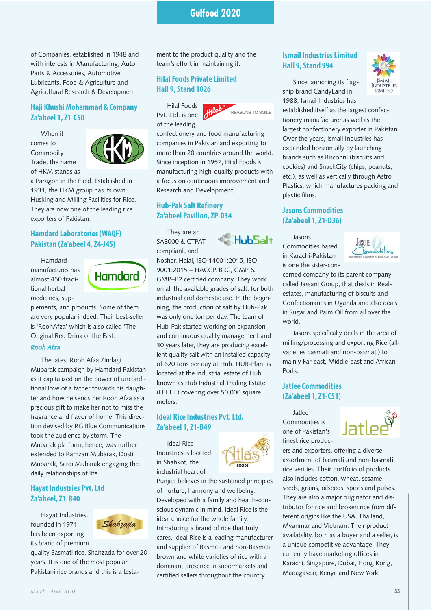of Companies, established in 1948 and with interests in Manufacturing, Auto Parts & Accessories, Automotive Lubricants, Food & Agriculture and Agricultural Research & Development.

## **Haji Khushi Mohammad & Company Za'abeel 1, Z1-C50**

When it comes to Commodity Trade, the name of HKM stands as



a Paragon in the Field. Established in 1931, the HKM group has its own Husking and Milling Facilities for Rice. They are now one of the leading rice exporters of Pakistan.

## **Hamdard Laboratories (WAQF) Pakistan (Za'abeel 4, Z4-J45)**

Hamdard manufactures has almost 450 traditional herbal medicines, sup-



plements, and products. Some of them are very popular indeed. Their best-seller is 'RoohAfza' which is also called 'The Original Red Drink of the East.

#### *Rooh Afza*

The latest Rooh Afza Zindagi Mubarak campaign by Hamdard Pakistan, as it capitalized on the power of unconditional love of a father towards his daughter and how he sends her Rooh Afza as a precious gift to make her not to miss the fragrance and flavor of home. This direction devised by RG Blue Communications took the audience by storm. The Mubarak platform, hence, was further extended to Ramzan Mubarak, Dosti Mubarak, Sardi Mubarak engaging the daily relationships of life.

## **Hayat Industries Pvt. Ltd Za'abeel, Z1-B40**

Hayat Industries, founded in 1971, has been exporting its brand of premium



quality Basmati rice, Shahzada for over 20 years. It is one of the most popular Pakistani rice brands and this is a testament to the product quality and the team's effort in maintaining it.

## **Hilal Foods Private Limited Hall 9, Stand 1026**

Hilal Foods Pvt. Ltd. is one of the leading



confectionery and food manufacturing companies in Pakistan and exporting to more than 20 countries around the world. Since inception in 1957, Hilal Foods is manufacturing high-quality products with a focus on continuous improvement and Research and Development.

## **Hub-Pak Salt Refinery Za'abeel Pavilion, ZP-D34**

They are an SA8000 & CTPAT compliant, and



Kosher, Halal, ISO 14001:2015, ISO 9001:2015 + HACCP, BRC, GMP & GMP+B2 certified company. They work on all the available grades of salt, for both industrial and domestic use. In the beginning, the production of salt by Hub-Pak was only one ton per day. The team of Hub-Pak started working on expansion and continuous quality management and 30 years later, they are producing excellent quality salt with an installed capacity of 620 tons per day at Hub. HUB-Plant is located at the industrial estate of Hub known as Hub Industrial Trading Estate (H I T E) covering over 50,000 square meters.

## **Ideal Rice Industries Pvt. Ltd. Za'abeel 1, Z1-B49**

Ideal Rice Industries is located in Shahkot, the industrial heart of



cares, Ideal Rice is a leading manufacturer and supplier of Basmati and non-Basmati brown and white varieties of rice with a dominant presence in supermarkets and certified sellers throughout the country.

## **Ismail Industries Limited Hall 9, Stand 994**

Since launching its flagship brand CandyLand in 1988, Ismail Industries has



established itself as the largest confectionery manufacturer as well as the largest confectionery exporter in Pakistan. Over the years, Ismail Industries has expanded horizontally by launching brands such as Bisconni (biscuits and cookies) and SnackCity (chips, peanuts, etc.), as well as vertically through Astro Plastics, which manufactures packing and plastic films.

## **Jasons Commodities (Za'abeel 1, Z1-D36)**

Jasons Commodities based in Karachi-Pakistan is one the sister-con-



cerned company to its parent company called Jassani Group, that deals in Realestates, manufacturing of biscuits and Confectionaries in Uganda and also deals in Sugar and Palm Oil from all over the world.

Jasons specifically deals in the area of milling/processing and exporting Rice (allvarieties basmati and non-basmati) to mainly Far-east, Middle-east and African Ports.

## **Jatlee Commodities (Za'abeel 1, Z1-C51)**

Jatlee Commodities is one of Pakistan's finest rice produc-



ers and exporters, offering a diverse assortment of basmati and non-basmati rice verities. Their portfolio of products also includes cotton, wheat, sesame seeds, grains, oilseeds, spices and pulses. They are also a major originator and distributor for rice and broken rice from different origins like the USA, Thailand, Myanmar and Vietnam. Their product availability, both as a buyer and a seller, is a unique competitive advantage. They currently have marketing offices in Karachi, Singapore, Dubai, Hong Kong, Madagascar, Kenya and New York.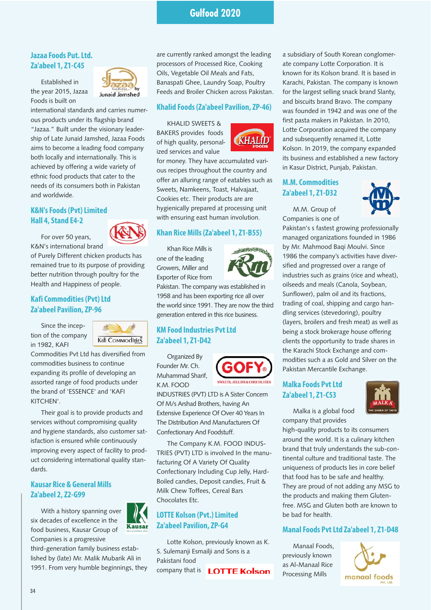## **Jazaa Foods Put. Ltd. Za'abeel 1, Z1-C45**

Established in

the year 2015, Jazaa Foods is built on



international standards and carries numerous products under its flagship brand "Jazaa." Built under the visionary leadership of Late Junaid Jamshed, Jazaa Foods aims to become a leading food company both locally and internationally. This is achieved by offering a wide variety of ethnic food products that cater to the needs of its consumers both in Pakistan and worldwide.

## **K&N's Foods (Pvt) Limited Hall 4, Stand E4-2**

For over 50 years, K&N's international brand



of Purely Different chicken products has remained true to its purpose of providing better nutrition through poultry for the Health and Happiness of people.

## **Kafi Commodities (Pvt) Ltd Za'abeel Pavilion, ZP-96**

Since the inception of the company in 1982, KAFI



Commodities Pvt Ltd has diversified from commodities business to continue expanding its profile of developing an assorted range of food products under the brand of 'ESSENCE' and 'KAFI KITCHEN'.

Their goal is to provide products and services without compromising quality and hygiene standards, also customer satisfaction is ensured while continuously improving every aspect of facility to product considering international quality standards.

## **Kausar Rice & General Mills Za'abeel 2, Z2-G99**

With a history spanning over six decades of excellence in the food business, Kausar Group of Companies is a progressive



third-generation family business established by (late) Mr. Malik Mubarik Ali in 1951. From very humble beginnings, they are currently ranked amongst the leading processors of Processed Rice, Cooking Oils, Vegetable Oil Meals and Fats, Banaspati Ghee, Laundry Soap, Poultry Feeds and Broiler Chicken across Pakistan.

#### **Khalid Foods (Za'abeel Pavilion, ZP-46)**

KHALID SWEETS & BAKERS provides foods of high quality, personalized services and value



for money. They have accumulated various recipes throughout the country and offer an alluring range of eatables such as Sweets, Namkeens, Toast, Halvajaat, Cookies etc. Their products are are hygienically prepared at processing unit with ensuring east human involution.

## **Khan Rice Mills (Za'abeel 1, Z1-B55)**

Khan Rice Mills is one of the leading Growers, Miller and Exporter of Rice from

Pakistan. The company was established in 1958 and has been exporting rice all over the world since 1991. They are now the third generation entered in this rice business.

## **KM Food Industries Pvt Ltd Za'abeel 1, Z1-D42**

Organized By Founder Mr. Ch. Muhammad Sharif, K.M. FOOD



INDUSTRIES (PVT) LTD is A Sister Concern Of M/s Arshad Brothers, having An Extensive Experience Of Over 40 Years In The Distribution And Manufacturers Of Confectionary And Foodstuff.

The Company K.M. FOOD INDUS-TRIES (PVT) LTD is involved In the manufacturing Of A Variety Of Quality Confectionary Including Cup Jelly, Hard-Boiled candies, Deposit candies, Fruit & Milk Chew Toffees, Cereal Bars Chocolates Etc.

## **LOTTE Kolson (Pvt.) Limited Za'abeel Pavilion, ZP-G4**

Lotte Kolson, previously known as K. S. Sulemanji Esmailji and Sons is a Pakistani food company that is **LOTTE Kolson** 

a subsidiary of South Korean conglomerate company Lotte Corporation. It is known for its Kolson brand. It is based in Karachi, Pakistan. The company is known for the largest selling snack brand Slanty, and biscuits brand Bravo. The company was founded in 1942 and was one of the first pasta makers in Pakistan. In 2010, Lotte Corporation acquired the company and subsequently renamed it, Lotte Kolson. In 2019, the company expanded its business and established a new factory in Kasur District, Punjab, Pakistan.

## **M.M. Commodities Za'abeel 1, Z1-D32**

M.M. Group of Companies is one of



Pakistan's s fastest growing professionally managed organizations founded in 1986 by Mr. Mahmood Baqi Moulvi. Since 1986 the company's activities have diversified and progressed over a range of industries such as grains (rice and wheat), oilseeds and meals (Canola, Soybean, Sunflower), palm oil and its fractions, trading of coal, shipping and cargo handling services (stevedoring), poultry (layers, broilers and fresh meat) as well as being a stock brokerage house offering clients the opportunity to trade shares in the Karachi Stock Exchange and commodities such a as Gold and Silver on the Pakistan Mercantile Exchange.

## **Malka Foods Pvt Ltd Za'abeel 1, Z1-C53**

Malka is a global food company that provides



high-quality products to its consumers

around the world. It is a culinary kitchen brand that truly understands the sub-continental culture and traditional taste. The uniqueness of products lies in core belief that food has to be safe and healthy. They are proud of not adding any MSG to the products and making them Glutenfree. MSG and Gluten both are known to be bad for health.

## **Manal Foods Pvt Ltd Za'abeel 1, Z1-D48**

Manaal Foods, previously known as Al-Manaal Rice Processing Mills

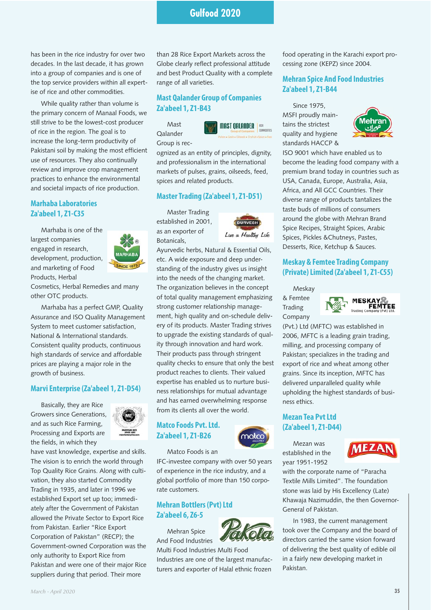has been in the rice industry for over two decades. In the last decade, it has grown into a group of companies and is one of the top service providers within all expertise of rice and other commodities.

While quality rather than volume is the primary concern of Manaal Foods, we still strive to be the lowest-cost producer of rice in the region. The goal is to increase the long-term productivity of Pakistani soil by making the most efficient use of resources. They also continually review and improve crop management practices to enhance the environmental and societal impacts of rice production.

## **Marhaba Laboratories Za'abeel 1, Z1-C35**

Marhaba is one of the largest companies engaged in research, development, production, and marketing of Food Products, Herbal



Cosmetics, Herbal Remedies and many other OTC products.

Marhaba has a perfect GMP, Quality Assurance and ISO Quality Management System to meet customer satisfaction, National & International standards. Consistent quality products, continuous high standards of service and affordable prices are playing a major role in the growth of business.

#### **Marvi Enterprise (Za'abeel 1, Z1-D54)**

Basically, they are Rice Growers since Generations, and as such Rice Farming, Processing and Exports are the fields, in which they



have vast knowledge, expertise and skills. The vision is to enrich the world through Top Quality Rice Grains. Along with cultivation, they also started Commodity Trading in 1935, and later in 1996 we established Export set up too; immediately after the Government of Pakistan allowed the Private Sector to Export Rice from Pakistan. Earlier "Rice Export Corporation of Pakistan" (RECP); the Government-owned Corporation was the only authority to Export Rice from Pakistan and were one of their major Rice suppliers during that period. Their more

than 28 Rice Export Markets across the Globe clearly reflect professional attitude and best Product Quality with a complete range of all varieties.

#### **Mast Qalander Group of Companies Za'abeel 1, Z1-B43**

Mast

spices and related products.



Qalander Group is rec-



ognized as an entity of principles, dignity, and professionalism in the international markets of pulses, grains, oilseeds, feed,

#### **Master Trading (Za'abeel 1, Z1-D51)**

Master Trading established in 2001, as an exporter of Botanicals,



Ayurvedic herbs, Natural & Essential Oils, etc. A wide exposure and deep understanding of the industry gives us insight into the needs of the changing market. The organization believes in the concept of total quality management emphasizing strong customer relationship management, high quality and on-schedule delivery of its products. Master Trading strives to upgrade the existing standards of quality through innovation and hard work. Their products pass through stringent quality checks to ensure that only the best product reaches to clients. Their valued expertise has enabled us to nurture business relationships for mutual advantage and has earned overwhelming response from its clients all over the world.

## **Matco Foods Pvt. Ltd. Za'abeel 1, Z1-B26**



Matco Foods is an

IFC-investee company with over 50 years of experience in the rice industry, and a global portfolio of more than 150 corporate customers.

## **Mehran Bottlers (Pvt) Ltd Za'abeel 6, Z6-5**

Mehran Spice And Food Industries



Multi Food Industries Multi Food

Industries are one of the largest manufacturers and exporter of Halal ethnic frozen

food operating in the Karachi export processing zone (KEPZ) since 2004.

## **Mehran Spice And Food Industries Za'abeel 1, Z1-B44**

Since 1975, MSFI proudly maintains the strictest quality and hygiene standards HACCP &



ISO 9001 which have enabled us to become the leading food company with a premium brand today in countries such as USA, Canada, Europe, Australia, Asia, Africa, and All GCC Countries. Their diverse range of products tantalizes the taste buds of millions of consumers around the globe with Mehran Brand Spice Recipes, Straight Spices, Arabic Spices, Pickles &Chutneys, Pastes, Desserts, Rice, Ketchup & Sauces.

#### **Meskay & Femtee Trading Company (Private) Limited (Za'abeel 1, Z1-C55)**

Meskay & Femtee Trading Company



(Pvt.) Ltd (MFTC) was established in 2006, MFTC is a leading grain trading, milling, and processing company of Pakistan; specializes in the trading and export of rice and wheat among other grains. Since its inception, MFTC has delivered unparalleled quality while upholding the highest standards of business ethics.

## **Mezan Tea Pvt Ltd (Za'abeel 1, Z1-D44)**

Mezan was established in the year 1951-1952



with the corporate name of "Paracha Textile Mills Limited". The foundation stone was laid by His Excellency (Late) Khawaja Nazimuddin, the then Governor-General of Pakistan.

In 1983, the current management took over the Company and the board of directors carried the same vision forward of delivering the best quality of edible oil in a fairly new developing market in Pakistan.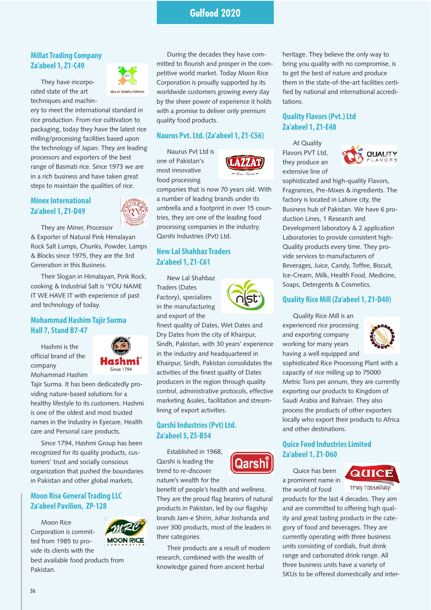#### **Millat Trading Company Za'abeel 1, Z1-C49**

They have incorporated state of the art techniques and machin-



ery to meet the international standard in rice production. From rice cultivation to packaging, today they have the latest rice milling/processing facilities based upon the technology of Japan. They are leading processors and exporters of the best range of Basmati rice. Since 1973 we are in a rich business and have taken great steps to maintain the qualities of rice.

#### **Minex International Za'abeel 1, Z1-D49**



They are Miner, Processor & Exporter of Natural Pink Himalayan Rock Salt Lumps, Chunks, Powder, Lamps & Blocks since 1975, they are the 3rd Generation in this Business.

Their Slogan in Himalayan, Pink Rock, cooking & Industrial Salt is 'YOU NAME IT WE HAVE IT with experience of past and technology of today.

## **Mohammad Hashim Tajir Surma Hall 7, Stand B7-47**

Hashmi is the official brand of the company Mohammad Hashim



Tajir Surma. It has been dedicatedly providing nature-based solutions for a healthy lifestyle to its customers. Hashmi is one of the oldest and most trusted names in the Industry in Eyecare, Health care and Personal care products.

Since 1794, Hashmi Group has been recognized for its quality products, customers' trust and socially conscious organization that pushed the boundaries in Pakistan and other global markets.

## **Moon Rise General Trading LLC Za'abeel Pavilion, ZP-128**

Moon Rice Corporation is committed from 1985 to provide its clients with the



best available food products from Pakistan.

During the decades they have committed to flourish and prosper in the competitive world market. Today Moon Rice Corporation is proudly supported by its worldwide customers growing every day by the sheer power of experience it holds with a promise to deliver only premium quality food products.

#### **Naurus Pvt. Ltd. (Za'abeel 1, Z1-C56)**

Naurus Pvt Ltd is one of Pakistan's most innovative food processing



companies that is now 70 years old. With a number of leading brands under its umbrella and a footprint in over 15 countries, they are one of the leading food processing companies in the industry. Qarshi Industries (Pvt) Ltd.

## **New Lal Shahbaz Traders Za'abeel 1, Z1-C61**

New Lal Shahbaz Traders (Dates Factory), specializes in the manufacturing and export of the



finest quality of Dates, Wet Dates and Dry Dates from the city of Khairpur, Sindh, Pakistan, with 30 years' experience in the industry and headquartered in Khairpur, Sindh, Pakistan consolidates the activities of the finest quality of Dates producers in the region through quality control, administrative protocols, effective marketing &sales, facilitation and streamlining of export activities.

## **Qarshi Industries (Pvt) Ltd. Za'abeel 5, Z5-B54**

Established in 1968, Qarshi is leading the trend to re-discover nature's wealth for the



benefit of people's health and wellness. They are the proud flag bearers of natural products in Pakistan, led by our flagship brands Jam-e Shirin, Johar Joshanda and over 300 products, most of the leaders in their categories.

Their products are a result of modern research, combined with the wealth of knowledge gained from ancient herbal

heritage. They believe the only way to bring you quality with no compromise, is to get the best of nature and produce them in the state-of-the-art facilities certified by national and international accreditations.

## **Quality Flavors (Pvt.) Ltd Za'abeel 1, Z1-E48**

At Quality Flavors PVT Ltd, they produce an extensive line of



sophisticated and high-quality Flavors, Fragrances, Pre-Mixes & ingredients. The factory is located in Lahore city, the Business hub of Pakistan. We have 6 production Lines, 1 Research and Development laboratory & 2 application Laboratories to provide consistent high-Quality products every time. They provide services to manufacturers of Beverages, Juice, Candy, Toffee, Biscuit, Ice-Cream, Milk, Health Food, Medicine, Soaps, Detergents & Cosmetics.

#### **Quality Rice Mill (Za'abeel 1, Z1-D40)**

Quality Rice Mill is an experienced rice processing and exporting company working for many years having a well equipped and



sophisticated Rice Processing Plant with a capacity of rice milling up to 75000 Metric Tons per annum, they are currently exporting our products to Kingdom of Saudi Arabia and Bahrain. They also process the products of other exporters locally who export their products to Africa and other destinations.

## **Quice Food Industries Limited Za'abeel 1, Z1-D60**

Quice has been a prominent name in the world of food



Truly TastePully

products for the last 4 decades. They aim and are committed to offering high quality and great tasting products in the category of food and beverages. They are currently operating with three business units consisting of cordials, fruit drink range and carbonated drink range. All three business units have a variety of SKUs to be offered domestically and inter-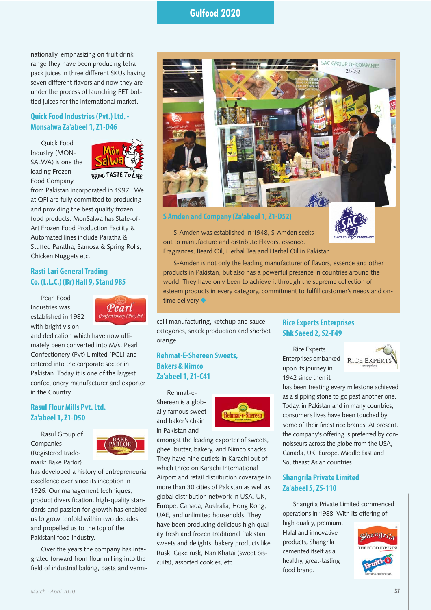nationally, emphasizing on fruit drink range they have been producing tetra pack juices in three different SKUs having seven different flavors and now they are under the process of launching PET bottled juices for the international market.

## **Quick Food Industries (Pvt.) Ltd. - Monsalwa Za'abeel 1, Z1-D46**

Quick Food Industry (MON-SALWA) is one the leading Frozen Food Company



from Pakistan incorporated in 1997. We at QFI are fully committed to producing and providing the best quality frozen food products. MonSalwa has State-of-Art Frozen Food Production Facility & Automated lines include Paratha & Stuffed Paratha, Samosa & Spring Rolls, Chicken Nuggets etc.

## **Rasti Lari General Trading Co. (L.L.C.) (Br) Hall 9, Stand 985**

Pearl Food Industries was established in 1982 with bright vision



and dedication which have now ultimately been converted into M/s. Pearl Confectionery (Pvt) Limited [PCL] and entered into the corporate sector in Pakistan. Today it is one of the largest confectionery manufacturer and exporter in the Country.

## **Rasul Flour Mills Pvt. Ltd. Za'abeel 1, Z1-D50**

Rasul Group of Companies (Registered trademark: Bake Parlor)



has developed a history of entrepreneurial excellence ever since its inception in 1926. Our management techniques, product diversification, high-quality standards and passion for growth has enabled us to grow tenfold within two decades and propelled us to the top of the Pakistani food industry.

Over the years the company has integrated forward from flour milling into the field of industrial baking, pasta and vermi-



**S Amden and Company (Za'abeel 1, Z1-D52)**

S-Amden was established in 1948, S-Amden seeks out to manufacture and distribute Flavors, essence, Fragrances, Beard Oil, Herbal Tea and Herbal Oil in Pakistan.

S-Amden is not only the leading manufacturer of flavors, essence and other products in Pakistan, but also has a powerful presence in countries around the world. They have only been to achieve it through the supreme collection of esteem products in every category, commitment to fulfill customer's needs and ontime delivery. $\blacklozenge$ 

celli manufacturing, ketchup and sauce categories, snack production and sherbet orange.

## **Rehmat-E-Shereen Sweets, Bakers & Nimco Za'abeel 1, Z1-C41**

Rehmat-e-Shereen is a globally famous sweet and baker's chain in Pakistan and



amongst the leading exporter of sweets, ghee, butter, bakery, and Nimco snacks. They have nine outlets in Karachi out of which three on Karachi International Airport and retail distribution coverage in more than 30 cities of Pakistan as well as global distribution network in USA, UK, Europe, Canada, Australia, Hong Kong, UAE, and unlimited households. They have been producing delicious high quality fresh and frozen traditional Pakistani sweets and delights, bakery products like Rusk, Cake rusk, Nan Khatai (sweet biscuits), assorted cookies, etc.

## **Rice Experts Enterprises Shk Saeed 2, S2-F49**

Rice Experts Enterprises embarked upon its journey in 1942 since then it



has been treating every milestone achieved as a slipping stone to go past another one. Today, in Pakistan and in many countries, consumer's lives have been touched by some of their finest rice brands. At present, the company's offering is preferred by connoisseurs across the globe from the USA, Canada, UK, Europe, Middle East and Southeast Asian countries.

## **Shangrila Private Limited Za'abeel 5, Z5-110**

Shangrila Private Limited commenced operations in 1988. With its offering of

high quality, premium, Halal and innovative products, Shangrila cemented itself as a healthy, great-tasting food brand.

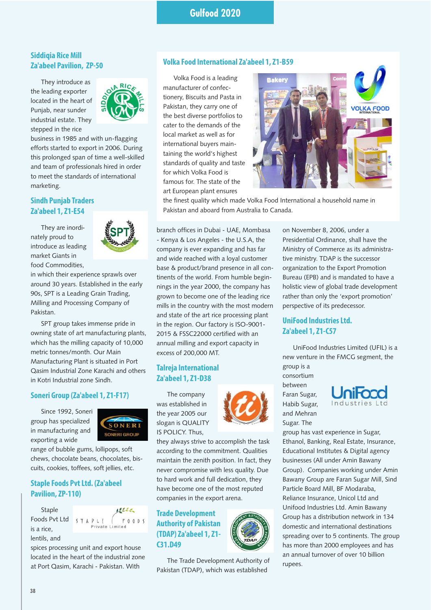## **Siddigia Rice Mill Za'abeel Pavilion, ZP-50**

They introduce as the leading exporter located in the heart of Punjab, near sunder industrial estate. They stepped in the rice



business in 1985 and with un-flagging efforts started to export in 2006. During this prolonged span of time a well-skilled and team of professionals hired in order to meet the standards of international marketing.

## **Sindh Punjab Traders Za'abeel 1, Z1-E54**

They are inordinately proud to introduce as leading market Giants in food Commodities,



in which their experience sprawls over around 30 years. Established in the early 90s, SPT is a Leading Grain Trading, Milling and Processing Company of Pakistan.

SPT group takes immense pride in owning state of art manufacturing plants, which has the milling capacity of 10,000 metric tonnes/month. Our Main Manufacturing Plant is situated in Port Qasim Industrial Zone Karachi and others in Kotri Industrial zone Sindh.

## **Soneri Group (Za'abeel 1, Z1-F17)**

Since 1992, Soneri group has specialized in manufacturing and exporting a wide



range of bubble gums, lollipops, soft chews, chocolate beans, chocolates, biscuits, cookies, toffees, soft jellies, etc.

#### **Staple Foods Pvt Ltd. (Za'abeel Pavilion, ZP-110)**

Staple Foods Pvt Ltd STAPLE is a rice, lentils, and

spices processing unit and export house located in the heart of the industrial zone at Port Qasim, Karachi - Pakistan. With

#### **Volka Food International Za'abeel 1, Z1-B59**

Volka Food is a leading manufacturer of confectionery, Biscuits and Pasta in Pakistan, they carry one of the best diverse portfolios to cater to the demands of the local market as well as for international buyers maintaining the world's highest standards of quality and taste for which Volka Food is famous for. The state of the art European plant ensures



the finest quality which made Volka Food International a household name in Pakistan and aboard from Australia to Canada.

branch offices in Dubai - UAE, Mombasa - Kenya & Los Angeles - the U.S.A, the company is ever expanding and has far and wide reached with a loyal customer base & product/brand presence in all continents of the world. From humble beginnings in the year 2000, the company has grown to become one of the leading rice mills in the country with the most modern and state of the art rice processing plant in the region. Our factory is ISO-9001- 2015 & FSSC22000 certified with an annual milling and export capacity in excess of 200,000 MT.

## **Talreja International Za'abeel 1, Z1-D38**

The company was established in the year 2005 our slogan is QUALITY IS POLICY. Thus,



they always strive to accomplish the task according to the commitment. Qualities maintain the zenith position. In fact, they never compromise with less quality. Due to hard work and full dedication, they have become one of the most reputed companies in the export arena.

## **Trade Development Authority of Pakistan (TDAP) Za'abeel 1, Z1- C31.D49**

The Trade Development Authority of Pakistan (TDAP), which was established

on November 8, 2006, under a Presidential Ordinance, shall have the Ministry of Commerce as its administrative ministry. TDAP is the successor organization to the Export Promotion Bureau (EPB) and is mandated to have a holistic view of global trade development rather than only the 'export promotion' perspective of its predecessor.

## **UniFood Industries Ltd. Za'abeel 1, Z1-C57**

UniFood Industries Limited (UFIL) is a new venture in the FMCG segment, the group is a

consortium between Faran Sugar, Habib Sugar, and Mehran Sugar. The



group has vast experience in Sugar, Ethanol, Banking, Real Estate, Insurance, Educational Institutes & Digital agency businesses (All under Amin Bawany Group). Companies working under Amin Bawany Group are Faran Sugar Mill, Sind Particle Board Mill, BF Modaraba, Reliance Insurance, Unicol Ltd and Unifood Industries Ltd. Amin Bawany Group has a distribution network in 134 domestic and international destinations spreading over to 5 continents. The group has more than 2000 employees and has an annual turnover of over 10 billion rupees.